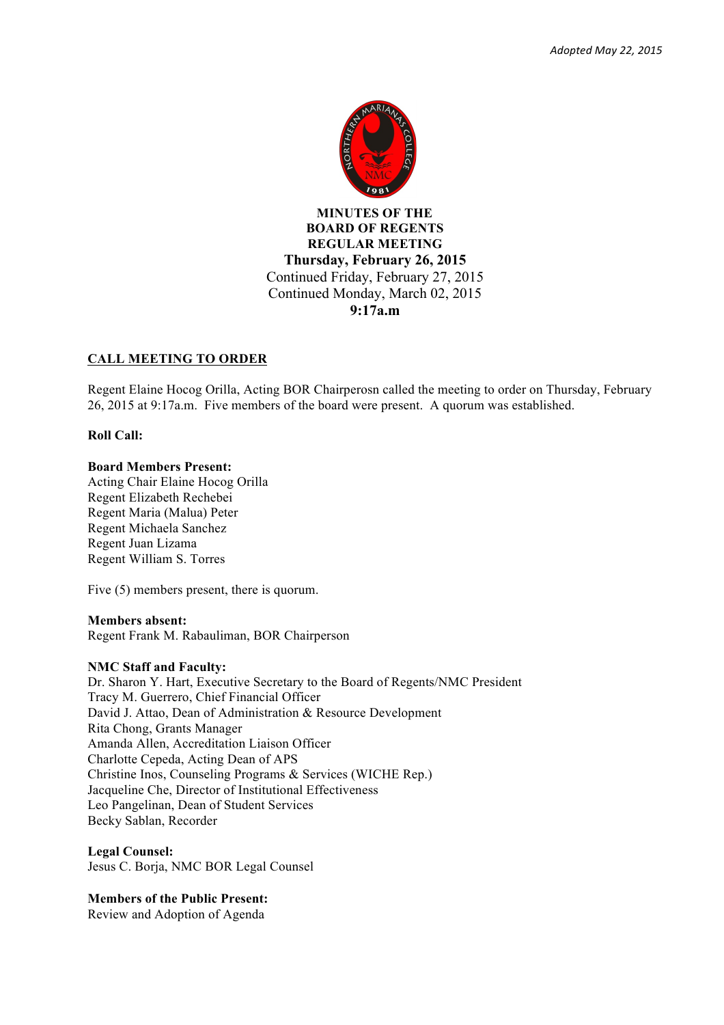

**BOARD OF REGENTS REGULAR MEETING Thursday, February 26, 2015** Continued Friday, February 27, 2015 Continued Monday, March 02, 2015 **9:17a.m**

### **CALL MEETING TO ORDER**

Regent Elaine Hocog Orilla, Acting BOR Chairperosn called the meeting to order on Thursday, February 26, 2015 at 9:17a.m. Five members of the board were present. A quorum was established.

#### **Roll Call:**

#### **Board Members Present:**

Acting Chair Elaine Hocog Orilla Regent Elizabeth Rechebei Regent Maria (Malua) Peter Regent Michaela Sanchez Regent Juan Lizama Regent William S. Torres

Five (5) members present, there is quorum.

#### **Members absent:**

Regent Frank M. Rabauliman, BOR Chairperson

#### **NMC Staff and Faculty:**

Dr. Sharon Y. Hart, Executive Secretary to the Board of Regents/NMC President Tracy M. Guerrero, Chief Financial Officer David J. Attao, Dean of Administration & Resource Development Rita Chong, Grants Manager Amanda Allen, Accreditation Liaison Officer Charlotte Cepeda, Acting Dean of APS Christine Inos, Counseling Programs & Services (WICHE Rep.) Jacqueline Che, Director of Institutional Effectiveness Leo Pangelinan, Dean of Student Services Becky Sablan, Recorder

**Legal Counsel:** Jesus C. Borja, NMC BOR Legal Counsel

**Members of the Public Present:** Review and Adoption of Agenda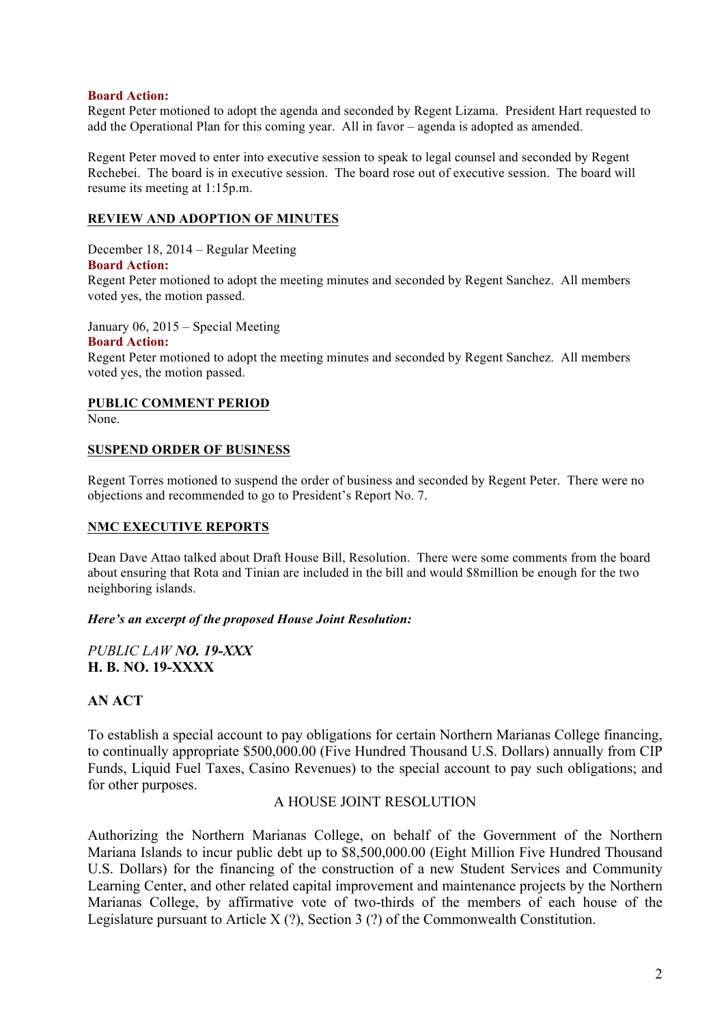### **Board Action:**

Regent Peter motioned to adopt the agenda and seconded by Regent Lizama. President Hart requested to add the Operational Plan for this coming year. All in favor – agenda is adopted as amended.

Regent Peter moved to enter into executive session to speak to legal counsel and seconded by Regent Rechebei. The board is in executive session. The board rose out of executive session. The board will resume its meeting at 1:15p.m.

## **REVIEW AND ADOPTION OF MINUTES**

December 18, 2014 – Regular Meeting

### **Board Action:**

Regent Peter motioned to adopt the meeting minutes and seconded by Regent Sanchez. All members voted yes, the motion passed.

January 06, 2015 – Special Meeting

#### **Board Action:**

Regent Peter motioned to adopt the meeting minutes and seconded by Regent Sanchez. All members voted yes, the motion passed.

### **PUBLIC COMMENT PERIOD**

None.

### **SUSPEND ORDER OF BUSINESS**

Regent Torres motioned to suspend the order of business and seconded by Regent Peter. There were no objections and recommended to go to President's Report No. 7.

# **NMC EXECUTIVE REPORTS**

Dean Dave Attao talked about Draft House Bill, Resolution. There were some comments from the board about ensuring that Rota and Tinian are included in the bill and would \$8million be enough for the two neighboring islands.

### *Here's an excerpt of the proposed House Joint Resolution:*

# *PUBLIC LAW NO. 19-XXX* **H. B. NO. 19-XXXX**

# **AN ACT**

To establish a special account to pay obligations for certain Northern Marianas College financing, to continually appropriate \$500,000.00 (Five Hundred Thousand U.S. Dollars) annually from CIP Funds, Liquid Fuel Taxes, Casino Revenues) to the special account to pay such obligations; and for other purposes.

# A HOUSE JOINT RESOLUTION

Authorizing the Northern Marianas College, on behalf of the Government of the Northern Mariana Islands to incur public debt up to \$8,500,000.00 (Eight Million Five Hundred Thousand U.S. Dollars) for the financing of the construction of a new Student Services and Community Learning Center, and other related capital improvement and maintenance projects by the Northern Marianas College, by affirmative vote of two-thirds of the members of each house of the Legislature pursuant to Article  $X(?)$ . Section 3 (?) of the Commonwealth Constitution.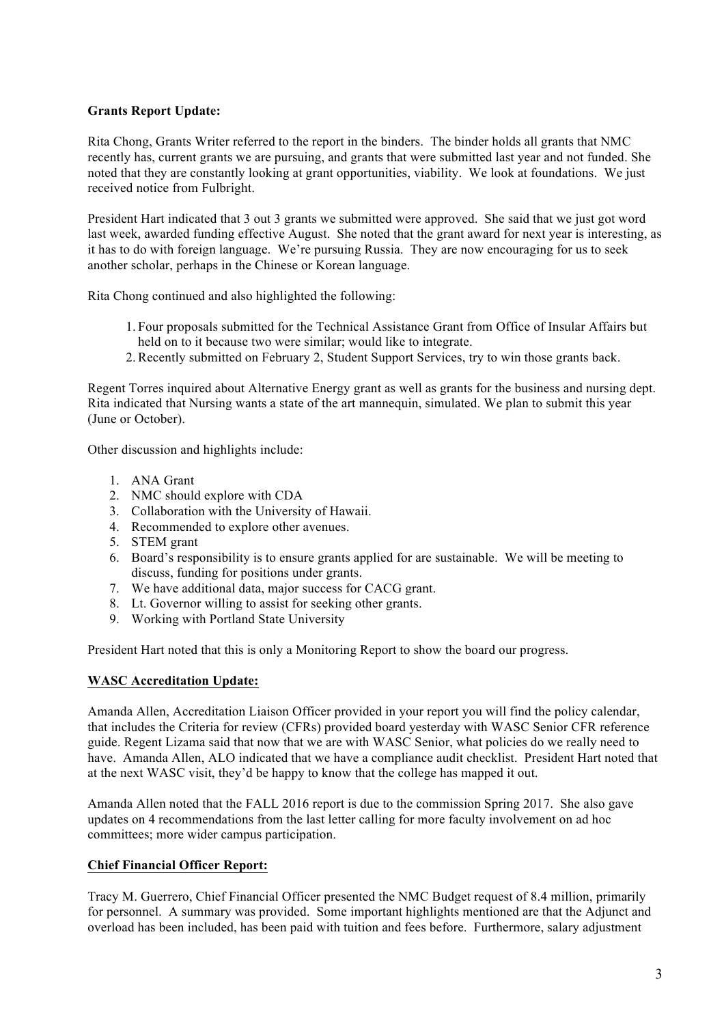# **Grants Report Update:**

Rita Chong, Grants Writer referred to the report in the binders. The binder holds all grants that NMC recently has, current grants we are pursuing, and grants that were submitted last year and not funded. She noted that they are constantly looking at grant opportunities, viability. We look at foundations. We just received notice from Fulbright.

President Hart indicated that 3 out 3 grants we submitted were approved. She said that we just got word last week, awarded funding effective August. She noted that the grant award for next year is interesting, as it has to do with foreign language. We're pursuing Russia. They are now encouraging for us to seek another scholar, perhaps in the Chinese or Korean language.

Rita Chong continued and also highlighted the following:

- 1. Four proposals submitted for the Technical Assistance Grant from Office of Insular Affairs but held on to it because two were similar; would like to integrate.
- 2.Recently submitted on February 2, Student Support Services, try to win those grants back.

Regent Torres inquired about Alternative Energy grant as well as grants for the business and nursing dept. Rita indicated that Nursing wants a state of the art mannequin, simulated. We plan to submit this year (June or October).

Other discussion and highlights include:

- 1. ANA Grant
- 2. NMC should explore with CDA
- 3. Collaboration with the University of Hawaii.
- 4. Recommended to explore other avenues.
- 5. STEM grant
- 6. Board's responsibility is to ensure grants applied for are sustainable. We will be meeting to discuss, funding for positions under grants.
- 7. We have additional data, major success for CACG grant.
- 8. Lt. Governor willing to assist for seeking other grants.
- 9. Working with Portland State University

President Hart noted that this is only a Monitoring Report to show the board our progress.

### **WASC Accreditation Update:**

Amanda Allen, Accreditation Liaison Officer provided in your report you will find the policy calendar, that includes the Criteria for review (CFRs) provided board yesterday with WASC Senior CFR reference guide. Regent Lizama said that now that we are with WASC Senior, what policies do we really need to have. Amanda Allen, ALO indicated that we have a compliance audit checklist. President Hart noted that at the next WASC visit, they'd be happy to know that the college has mapped it out.

Amanda Allen noted that the FALL 2016 report is due to the commission Spring 2017. She also gave updates on 4 recommendations from the last letter calling for more faculty involvement on ad hoc committees; more wider campus participation.

# **Chief Financial Officer Report:**

Tracy M. Guerrero, Chief Financial Officer presented the NMC Budget request of 8.4 million, primarily for personnel. A summary was provided. Some important highlights mentioned are that the Adjunct and overload has been included, has been paid with tuition and fees before. Furthermore, salary adjustment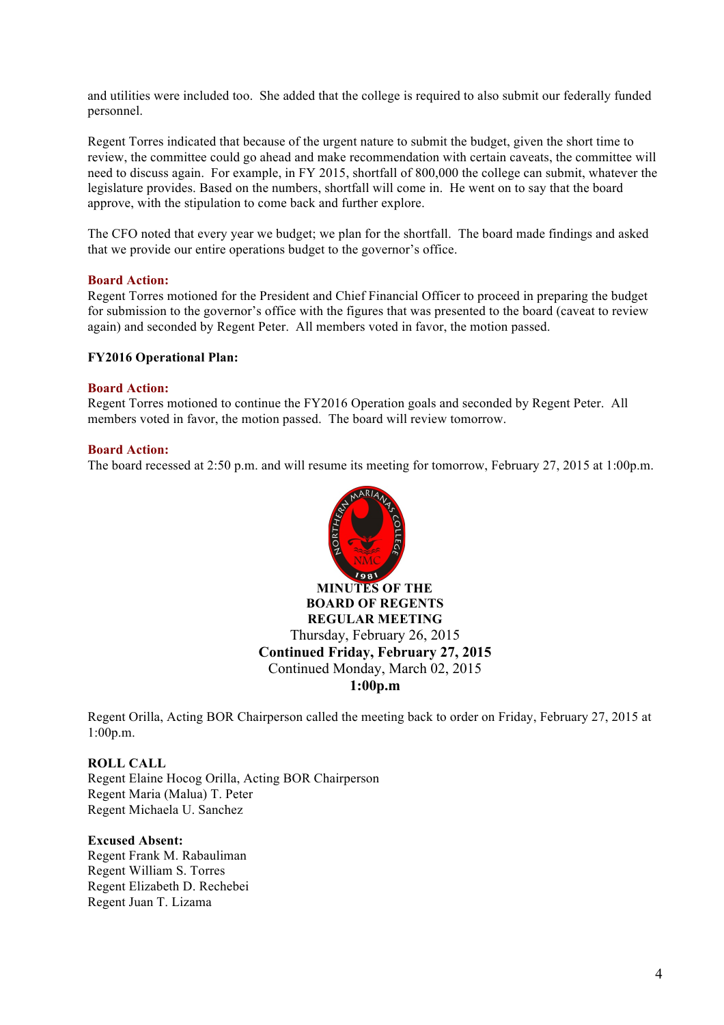and utilities were included too. She added that the college is required to also submit our federally funded personnel.

Regent Torres indicated that because of the urgent nature to submit the budget, given the short time to review, the committee could go ahead and make recommendation with certain caveats, the committee will need to discuss again. For example, in FY 2015, shortfall of 800,000 the college can submit, whatever the legislature provides. Based on the numbers, shortfall will come in. He went on to say that the board approve, with the stipulation to come back and further explore.

The CFO noted that every year we budget; we plan for the shortfall. The board made findings and asked that we provide our entire operations budget to the governor's office.

#### **Board Action:**

Regent Torres motioned for the President and Chief Financial Officer to proceed in preparing the budget for submission to the governor's office with the figures that was presented to the board (caveat to review again) and seconded by Regent Peter. All members voted in favor, the motion passed.

#### **FY2016 Operational Plan:**

#### **Board Action:**

Regent Torres motioned to continue the FY2016 Operation goals and seconded by Regent Peter. All members voted in favor, the motion passed. The board will review tomorrow.

#### **Board Action:**

The board recessed at 2:50 p.m. and will resume its meeting for tomorrow, February 27, 2015 at 1:00p.m.



**BOARD OF REGENTS REGULAR MEETING** Thursday, February 26, 2015 **Continued Friday, February 27, 2015**  Continued Monday, March 02, 2015 **1:00p.m**

Regent Orilla, Acting BOR Chairperson called the meeting back to order on Friday, February 27, 2015 at 1:00p.m.

#### **ROLL CALL**

Regent Elaine Hocog Orilla, Acting BOR Chairperson Regent Maria (Malua) T. Peter Regent Michaela U. Sanchez

#### **Excused Absent:**

Regent Frank M. Rabauliman Regent William S. Torres Regent Elizabeth D. Rechebei Regent Juan T. Lizama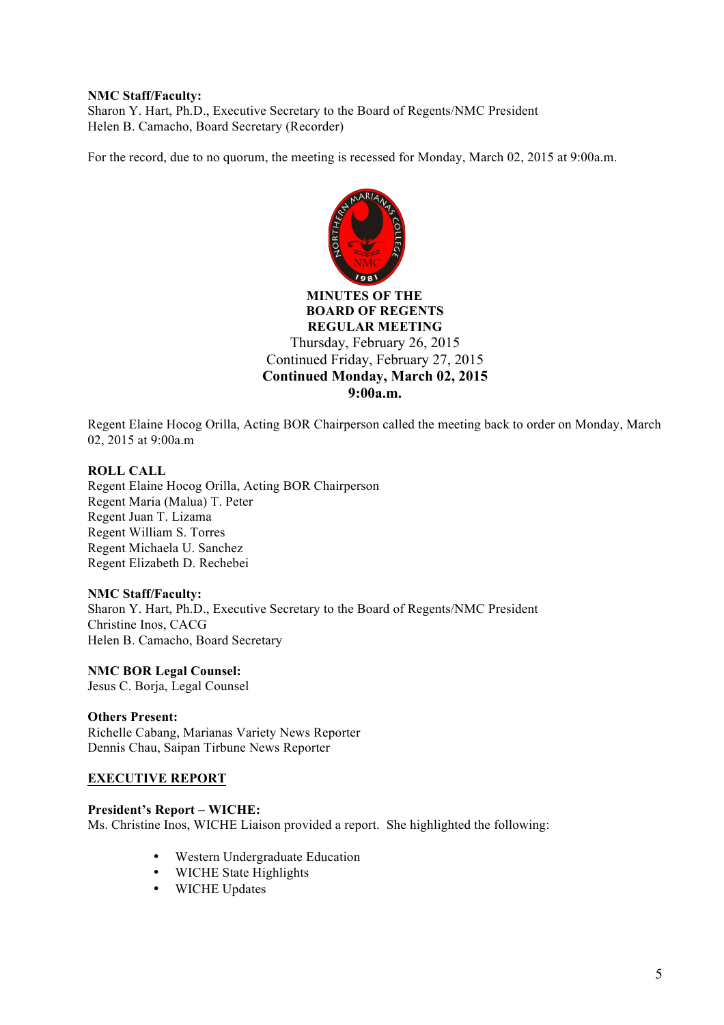## **NMC Staff/Faculty:**

Sharon Y. Hart, Ph.D., Executive Secretary to the Board of Regents/NMC President Helen B. Camacho, Board Secretary (Recorder)

For the record, due to no quorum, the meeting is recessed for Monday, March 02, 2015 at 9:00a.m.



Regent Elaine Hocog Orilla, Acting BOR Chairperson called the meeting back to order on Monday, March 02, 2015 at 9:00a.m

### **ROLL CALL**

Regent Elaine Hocog Orilla, Acting BOR Chairperson Regent Maria (Malua) T. Peter Regent Juan T. Lizama Regent William S. Torres Regent Michaela U. Sanchez Regent Elizabeth D. Rechebei

### **NMC Staff/Faculty:**

Sharon Y. Hart, Ph.D., Executive Secretary to the Board of Regents/NMC President Christine Inos, CACG Helen B. Camacho, Board Secretary

### **NMC BOR Legal Counsel:**

Jesus C. Borja, Legal Counsel

### **Others Present:**

Richelle Cabang, Marianas Variety News Reporter Dennis Chau, Saipan Tirbune News Reporter

### **EXECUTIVE REPORT**

# **President's Report – WICHE:**

Ms. Christine Inos, WICHE Liaison provided a report. She highlighted the following:

- Western Undergraduate Education
- WICHE State Highlights
- WICHE Updates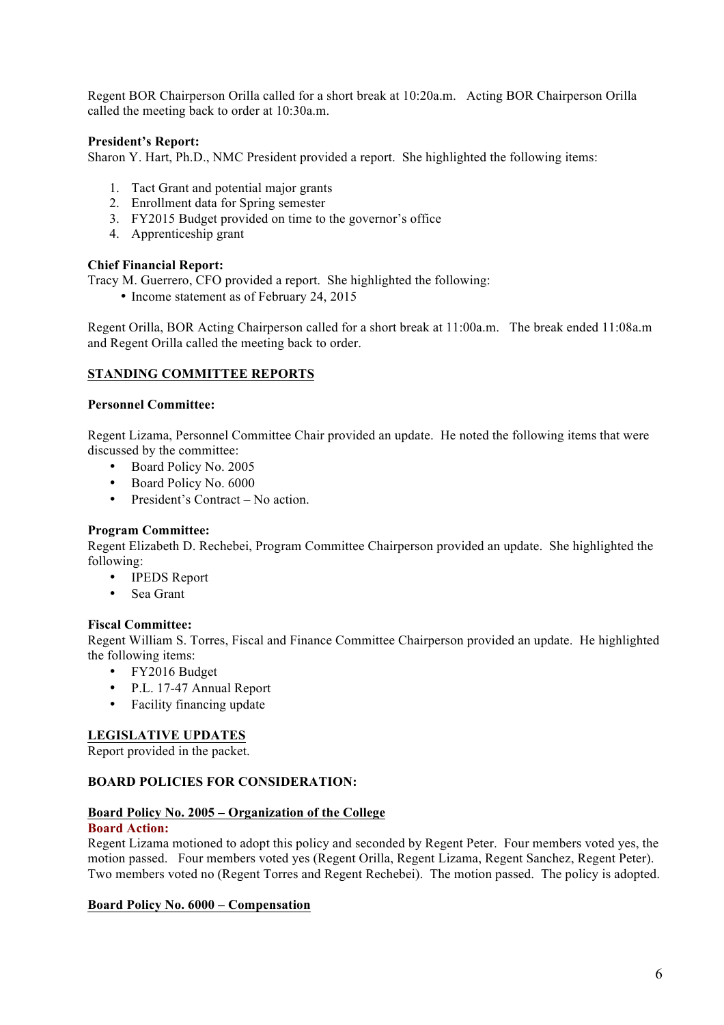Regent BOR Chairperson Orilla called for a short break at 10:20a.m. Acting BOR Chairperson Orilla called the meeting back to order at 10:30a.m.

# **President's Report:**

Sharon Y. Hart, Ph.D., NMC President provided a report. She highlighted the following items:

- 1. Tact Grant and potential major grants
- 2. Enrollment data for Spring semester
- 3. FY2015 Budget provided on time to the governor's office
- 4. Apprenticeship grant

# **Chief Financial Report:**

Tracy M. Guerrero, CFO provided a report. She highlighted the following:

• Income statement as of February 24, 2015

Regent Orilla, BOR Acting Chairperson called for a short break at 11:00a.m. The break ended 11:08a.m and Regent Orilla called the meeting back to order.

# **STANDING COMMITTEE REPORTS**

### **Personnel Committee:**

Regent Lizama, Personnel Committee Chair provided an update. He noted the following items that were discussed by the committee:

- Board Policy No. 2005
- Board Policy No. 6000
- President's Contract No action.

# **Program Committee:**

Regent Elizabeth D. Rechebei, Program Committee Chairperson provided an update. She highlighted the following:

- IPEDS Report
- Sea Grant

### **Fiscal Committee:**

Regent William S. Torres, Fiscal and Finance Committee Chairperson provided an update. He highlighted the following items:

- FY2016 Budget
- P.L. 17-47 Annual Report
- Facility financing update

# **LEGISLATIVE UPDATES**

Report provided in the packet.

# **BOARD POLICIES FOR CONSIDERATION:**

### **Board Policy No. 2005 – Organization of the College**

## **Board Action:**

Regent Lizama motioned to adopt this policy and seconded by Regent Peter. Four members voted yes, the motion passed. Four members voted yes (Regent Orilla, Regent Lizama, Regent Sanchez, Regent Peter). Two members voted no (Regent Torres and Regent Rechebei). The motion passed. The policy is adopted.

### **Board Policy No. 6000 – Compensation**